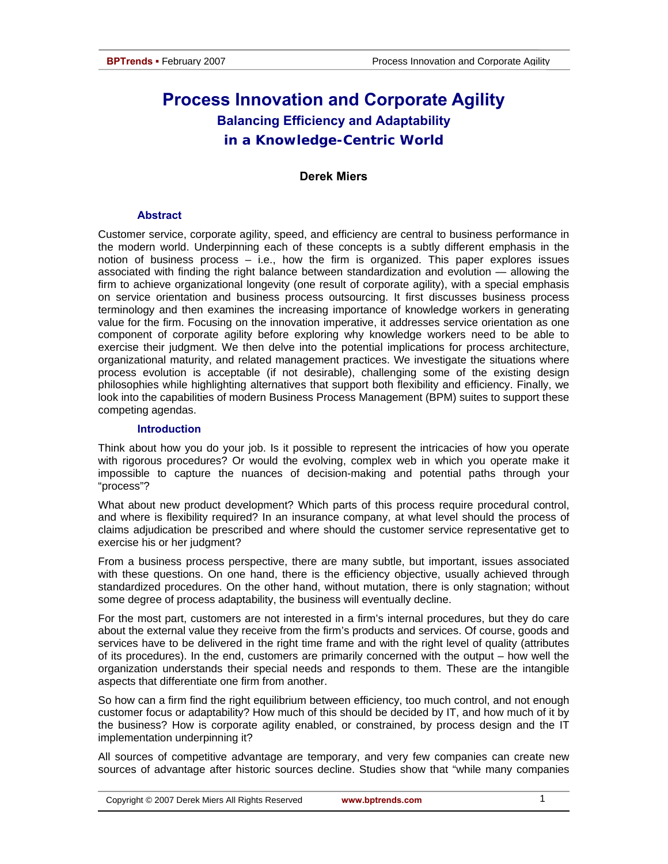# **Process Innovation and Corporate Agility Balancing Efficiency and Adaptability in a Knowledge-Centric World**

### **Derek Miers**

### **Abstract**

Customer service, corporate agility, speed, and efficiency are central to business performance in the modern world. Underpinning each of these concepts is a subtly different emphasis in the notion of business process – i.e., how the firm is organized. This paper explores issues associated with finding the right balance between standardization and evolution — allowing the firm to achieve organizational longevity (one result of corporate agility), with a special emphasis on service orientation and business process outsourcing. It first discusses business process terminology and then examines the increasing importance of knowledge workers in generating value for the firm. Focusing on the innovation imperative, it addresses service orientation as one component of corporate agility before exploring why knowledge workers need to be able to exercise their judgment. We then delve into the potential implications for process architecture, organizational maturity, and related management practices. We investigate the situations where process evolution is acceptable (if not desirable), challenging some of the existing design philosophies while highlighting alternatives that support both flexibility and efficiency. Finally, we look into the capabilities of modern Business Process Management (BPM) suites to support these competing agendas.

### **Introduction**

Think about how you do your job. Is it possible to represent the intricacies of how you operate with rigorous procedures? Or would the evolving, complex web in which you operate make it impossible to capture the nuances of decision-making and potential paths through your "process"?

What about new product development? Which parts of this process require procedural control, and where is flexibility required? In an insurance company, at what level should the process of claims adjudication be prescribed and where should the customer service representative get to exercise his or her judgment?

From a business process perspective, there are many subtle, but important, issues associated with these questions. On one hand, there is the efficiency objective, usually achieved through standardized procedures. On the other hand, without mutation, there is only stagnation; without some degree of process adaptability, the business will eventually decline.

For the most part, customers are not interested in a firm's internal procedures, but they do care about the external value they receive from the firm's products and services. Of course, goods and services have to be delivered in the right time frame and with the right level of quality (attributes of its procedures). In the end, customers are primarily concerned with the output – how well the organization understands their special needs and responds to them. These are the intangible aspects that differentiate one firm from another.

So how can a firm find the right equilibrium between efficiency, too much control, and not enough customer focus or adaptability? How much of this should be decided by IT, and how much of it by the business? How is corporate agility enabled, or constrained, by process design and the IT implementation underpinning it?

All sources of competitive advantage are temporary, and very few companies can create new sources of advantage after historic sources decline. Studies show that "while many companies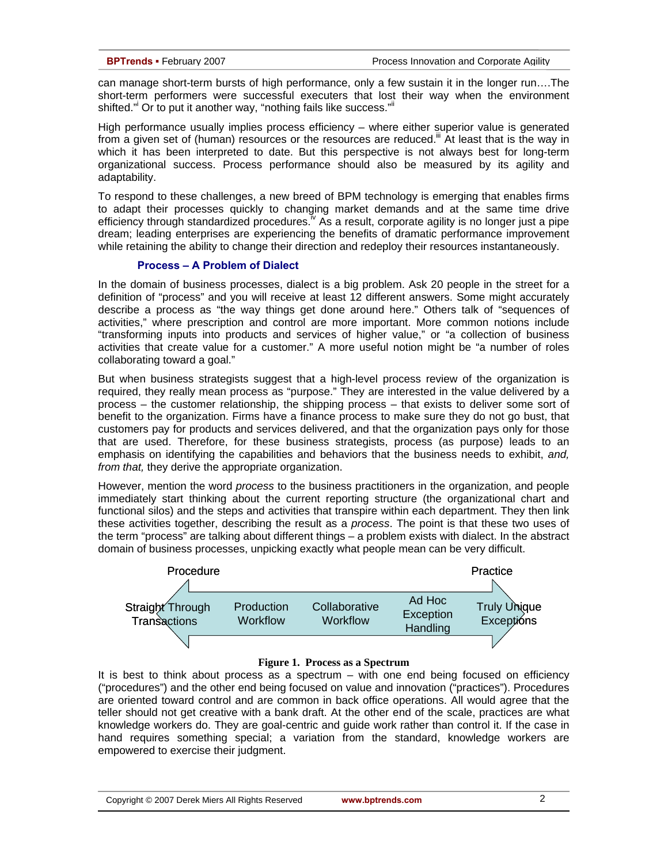can manage short-term bursts of high performance, only a few sustain it in the longer run….The short-term performers were successful executers that lost their way when the environment shifted." Or to put it another way, "nothing fails like success." If

High performance usually implies process efficiency – where either superior value is generated from a given set of (human) resources or the resources are reduced.<sup>"I</sup> At least that is the way in which it has been interpreted to date. But this perspective is not always best for long-term organizational success. Process performance should also be measured by its agility and adaptability.

To respond to these challenges, a new breed of BPM technology is emerging that enables firms to adapt their processes quickly to changing market demands and at the same time drive efficiency through standardized procedures.  $\sqrt{\ }$  As a result, corporate agility is no longer just a pipe dream; leading enterprises are experiencing the benefits of dramatic performance improvement while retaining the ability to change their direction and redeploy their resources instantaneously.

### **Process – A Problem of Dialect**

In the domain of business processes, dialect is a big problem. Ask 20 people in the street for a definition of "process" and you will receive at least 12 different answers. Some might accurately describe a process as "the way things get done around here." Others talk of "sequences of activities," where prescription and control are more important. More common notions include "transforming inputs into products and services of higher value," or "a collection of business activities that create value for a customer." A more useful notion might be "a number of roles collaborating toward a goal."

But when business strategists suggest that a high-level process review of the organization is required, they really mean process as "purpose." They are interested in the value delivered by a process – the customer relationship, the shipping process – that exists to deliver some sort of benefit to the organization. Firms have a finance process to make sure they do not go bust, that customers pay for products and services delivered, and that the organization pays only for those that are used. Therefore, for these business strategists, process (as purpose) leads to an emphasis on identifying the capabilities and behaviors that the business needs to exhibit, *and, from that,* they derive the appropriate organization.

However, mention the word *process* to the business practitioners in the organization, and people immediately start thinking about the current reporting structure (the organizational chart and functional silos) and the steps and activities that transpire within each department. They then link these activities together, describing the result as a *process*. The point is that these two uses of the term "process" are talking about different things – a problem exists with dialect. In the abstract domain of business processes, unpicking exactly what people mean can be very difficult.





It is best to think about process as a spectrum – with one end being focused on efficiency ("procedures") and the other end being focused on value and innovation ("practices"). Procedures are oriented toward control and are common in back office operations. All would agree that the teller should not get creative with a bank draft. At the other end of the scale, practices are what knowledge workers do. They are goal-centric and guide work rather than control it. If the case in hand requires something special; a variation from the standard, knowledge workers are empowered to exercise their judgment.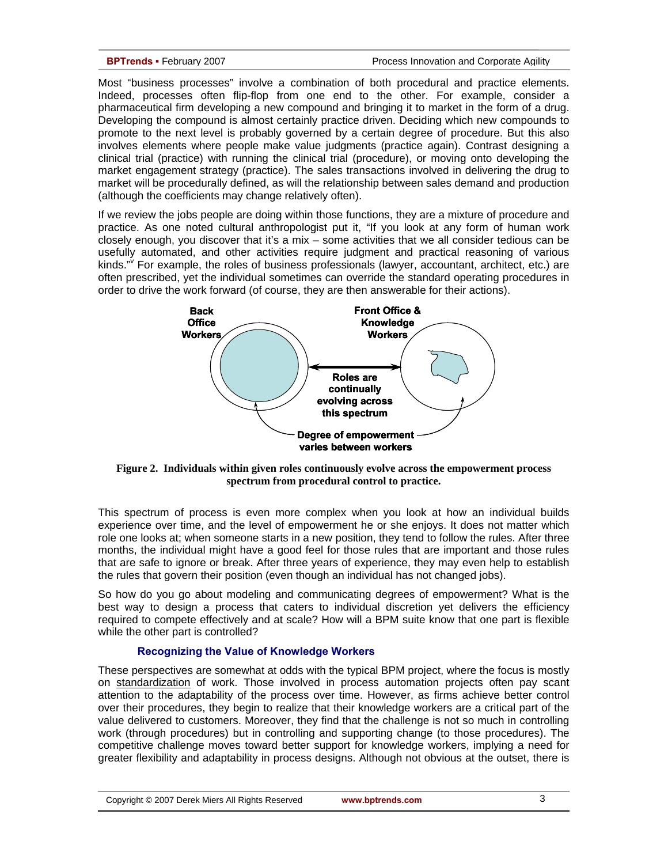Most "business processes" involve a combination of both procedural and practice elements. Indeed, processes often flip-flop from one end to the other. For example, consider a pharmaceutical firm developing a new compound and bringing it to market in the form of a drug. Developing the compound is almost certainly practice driven. Deciding which new compounds to promote to the next level is probably governed by a certain degree of procedure. But this also involves elements where people make value judgments (practice again). Contrast designing a clinical trial (practice) with running the clinical trial (procedure), or moving onto developing the market engagement strategy (practice). The sales transactions involved in delivering the drug to market will be procedurally defined, as will the relationship between sales demand and production (although the coefficients may change relatively often).

If we review the jobs people are doing within those functions, they are a mixture of procedure and practice. As one noted cultural anthropologist put it, "If you look at any form of human work closely enough, you discover that it's a mix – some activities that we all consider tedious can be usefully automated, and other activities require judgment and practical reasoning of various kinds." For example, the roles of business professionals (lawyer, accountant, architect, etc.) are often prescribed, yet the individual sometimes can override the standard operating procedures in order to drive the work forward (of course, they are then answerable for their actions).



**Figure 2. Individuals within given roles continuously evolve across the empowerment process spectrum from procedural control to practice.** 

This spectrum of process is even more complex when you look at how an individual builds experience over time, and the level of empowerment he or she enjoys. It does not matter which role one looks at; when someone starts in a new position, they tend to follow the rules. After three months, the individual might have a good feel for those rules that are important and those rules that are safe to ignore or break. After three years of experience, they may even help to establish the rules that govern their position (even though an individual has not changed jobs).

So how do you go about modeling and communicating degrees of empowerment? What is the best way to design a process that caters to individual discretion yet delivers the efficiency required to compete effectively and at scale? How will a BPM suite know that one part is flexible while the other part is controlled?

### **Recognizing the Value of Knowledge Workers**

These perspectives are somewhat at odds with the typical BPM project, where the focus is mostly on standardization of work. Those involved in process automation projects often pay scant attention to the adaptability of the process over time. However, as firms achieve better control over their procedures, they begin to realize that their knowledge workers are a critical part of the value delivered to customers. Moreover, they find that the challenge is not so much in controlling work (through procedures) but in controlling and supporting change (to those procedures). The competitive challenge moves toward better support for knowledge workers, implying a need for greater flexibility and adaptability in process designs. Although not obvious at the outset, there is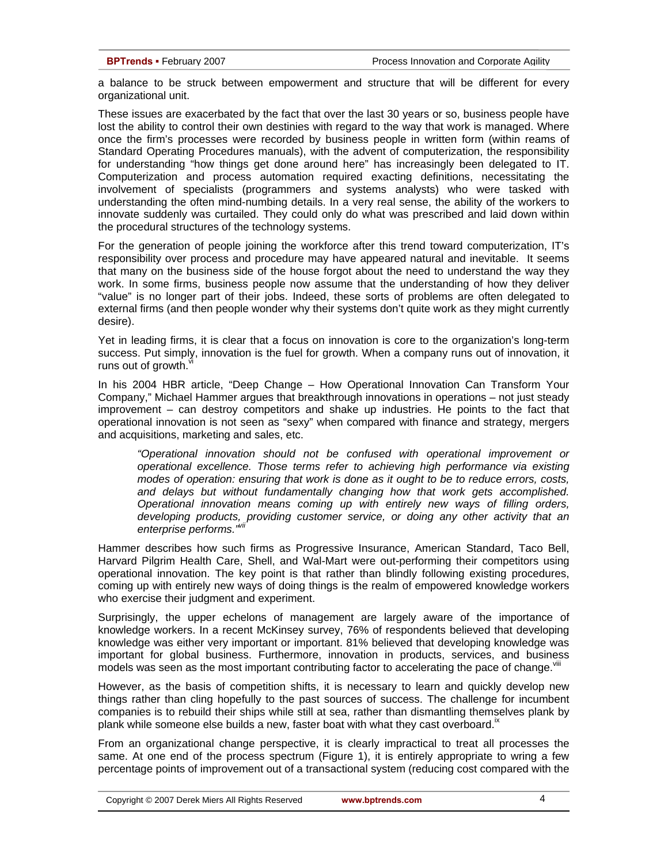a balance to be struck between empowerment and structure that will be different for every organizational unit.

These issues are exacerbated by the fact that over the last 30 years or so, business people have lost the ability to control their own destinies with regard to the way that work is managed. Where once the firm's processes were recorded by business people in written form (within reams of Standard Operating Procedures manuals), with the advent of computerization, the responsibility for understanding "how things get done around here" has increasingly been delegated to IT. Computerization and process automation required exacting definitions, necessitating the involvement of specialists (programmers and systems analysts) who were tasked with understanding the often mind-numbing details. In a very real sense, the ability of the workers to innovate suddenly was curtailed. They could only do what was prescribed and laid down within the procedural structures of the technology systems.

For the generation of people joining the workforce after this trend toward computerization, IT's responsibility over process and procedure may have appeared natural and inevitable. It seems that many on the business side of the house forgot about the need to understand the way they work. In some firms, business people now assume that the understanding of how they deliver "value" is no longer part of their jobs. Indeed, these sorts of problems are often delegated to external firms (and then people wonder why their systems don't quite work as they might currently desire).

Yet in leading firms, it is clear that a focus on innovation is core to the organization's long-term success. Put simply, innovation is the fuel for growth. When a company runs out of innovation, it runs out of growth.

In his 2004 HBR article, "Deep Change – How Operational Innovation Can Transform Your Company," Michael Hammer argues that breakthrough innovations in operations – not just steady improvement – can destroy competitors and shake up industries. He points to the fact that operational innovation is not seen as "sexy" when compared with finance and strategy, mergers and acquisitions, marketing and sales, etc.

*"Operational innovation should not be confused with operational improvement or operational excellence. Those terms refer to achieving high performance via existing modes of operation: ensuring that work is done as it ought to be to reduce errors, costs, and delays but without fundamentally changing how that work gets accomplished. Operational innovation means coming up with entirely new ways of filling orders, developing products, providing customer service, or doing any other activity that an enterprise performs."vii*

Hammer describes how such firms as Progressive Insurance, American Standard, Taco Bell, Harvard Pilgrim Health Care, Shell, and Wal-Mart were out-performing their competitors using operational innovation. The key point is that rather than blindly following existing procedures, coming up with entirely new ways of doing things is the realm of empowered knowledge workers who exercise their judgment and experiment.

Surprisingly, the upper echelons of management are largely aware of the importance of knowledge workers. In a recent McKinsey survey, 76% of respondents believed that developing knowledge was either very important or important. 81% believed that developing knowledge was important for global business. Furthermore, innovation in products, services, and business models was seen as the most important contributing factor to accelerating the pace of change. $^{\vee}$ 

However, as the basis of competition shifts, it is necessary to learn and quickly develop new things rather than cling hopefully to the past sources of success. The challenge for incumbent companies is to rebuild their ships while still at sea, rather than dismantling themselves plank by plank while someone else builds a new, faster boat with what they cast overboard.<sup>"</sup>

From an organizational change perspective, it is clearly impractical to treat all processes the same. At one end of the process spectrum (Figure 1), it is entirely appropriate to wring a few percentage points of improvement out of a transactional system (reducing cost compared with the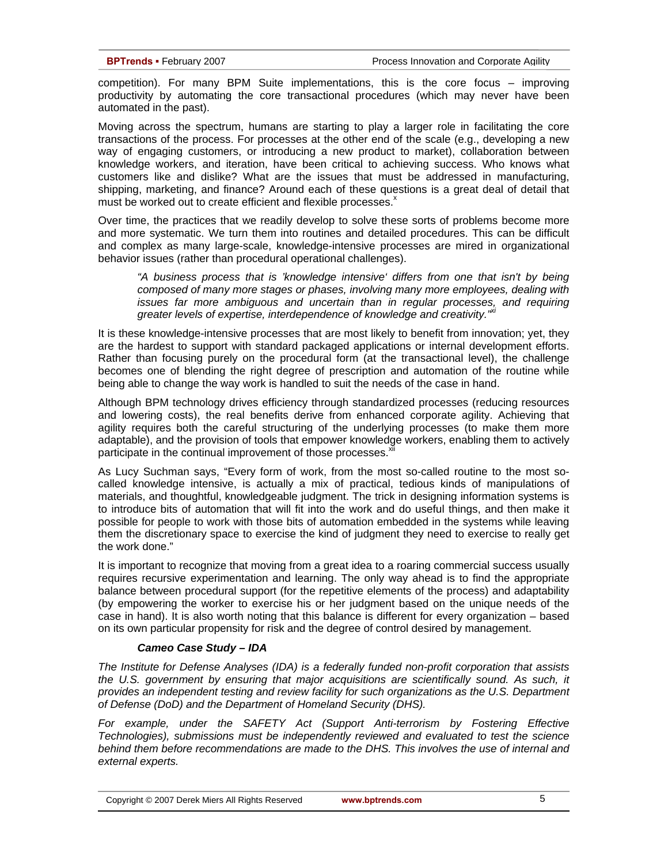competition). For many BPM Suite implementations, this is the core focus – improving productivity by automating the core transactional procedures (which may never have been automated in the past).

Moving across the spectrum, humans are starting to play a larger role in facilitating the core transactions of the process. For processes at the other end of the scale (e.g., developing a new way of engaging customers, or introducing a new product to market), collaboration between knowledge workers, and iteration, have been critical to achieving success. Who knows what customers like and dislike? What are the issues that must be addressed in manufacturing, shipping, marketing, and finance? Around each of these questions is a great deal of detail that must be worked out to create efficient and flexible processes.<sup>x</sup>

Over time, the practices that we readily develop to solve these sorts of problems become more and more systematic. We turn them into routines and detailed procedures. This can be difficult and complex as many large-scale, knowledge-intensive processes are mired in organizational behavior issues (rather than procedural operational challenges).

*"A business process that is 'knowledge intensive' differs from one that isn't by being composed of many more stages or phases, involving many more employees, dealing with issues far more ambiguous and uncertain than in regular processes, and requiring*  greater levels of expertise, interdependence of knowledge and creativity.<sup>" xi</sup>

It is these knowledge-intensive processes that are most likely to benefit from innovation; yet, they are the hardest to support with standard packaged applications or internal development efforts. Rather than focusing purely on the procedural form (at the transactional level), the challenge becomes one of blending the right degree of prescription and automation of the routine while being able to change the way work is handled to suit the needs of the case in hand.

Although BPM technology drives efficiency through standardized processes (reducing resources and lowering costs), the real benefits derive from enhanced corporate agility. Achieving that agility requires both the careful structuring of the underlying processes (to make them more adaptable), and the provision of tools that empower knowledge workers, enabling them to actively participate in the continual improvement of those processes.<sup>x</sup>

As Lucy Suchman says, "Every form of work, from the most so-called routine to the most socalled knowledge intensive, is actually a mix of practical, tedious kinds of manipulations of materials, and thoughtful, knowledgeable judgment. The trick in designing information systems is to introduce bits of automation that will fit into the work and do useful things, and then make it possible for people to work with those bits of automation embedded in the systems while leaving them the discretionary space to exercise the kind of judgment they need to exercise to really get the work done."

It is important to recognize that moving from a great idea to a roaring commercial success usually requires recursive experimentation and learning. The only way ahead is to find the appropriate balance between procedural support (for the repetitive elements of the process) and adaptability (by empowering the worker to exercise his or her judgment based on the unique needs of the case in hand). It is also worth noting that this balance is different for every organization – based on its own particular propensity for risk and the degree of control desired by management.

### *Cameo Case Study – IDA*

*The Institute for Defense Analyses (IDA) is a federally funded non-profit corporation that assists the U.S. government by ensuring that major acquisitions are scientifically sound. As such, it provides an independent testing and review facility for such organizations as the U.S. Department of Defense (DoD) and the Department of Homeland Security (DHS).* 

For example, under the SAFETY Act (Support Anti-terrorism by Fostering Effective *Technologies), submissions must be independently reviewed and evaluated to test the science behind them before recommendations are made to the DHS. This involves the use of internal and external experts.*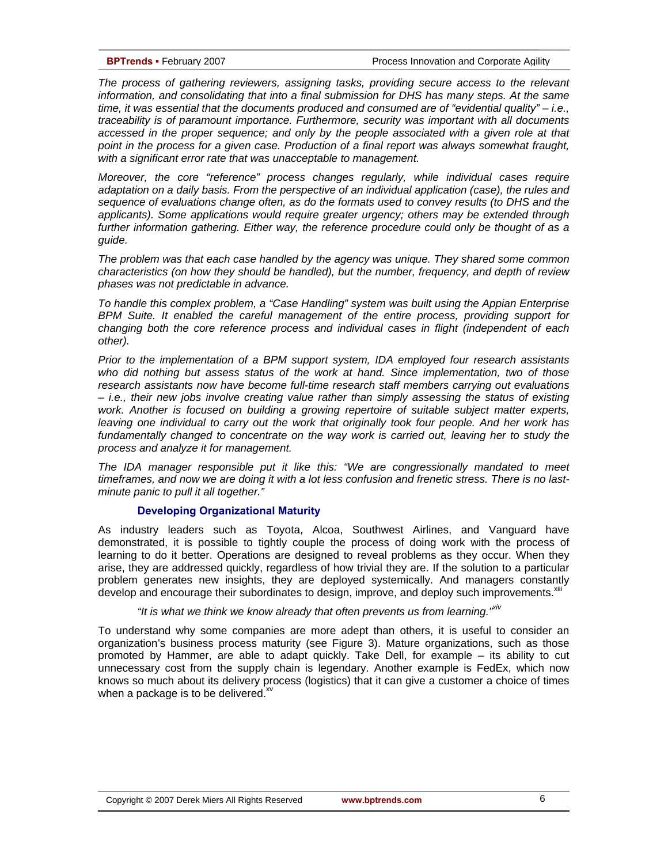*The process of gathering reviewers, assigning tasks, providing secure access to the relevant information, and consolidating that into a final submission for DHS has many steps. At the same time, it was essential that the documents produced and consumed are of "evidential quality" – i.e., traceability is of paramount importance. Furthermore, security was important with all documents accessed in the proper sequence; and only by the people associated with a given role at that point in the process for a given case. Production of a final report was always somewhat fraught, with a significant error rate that was unacceptable to management.* 

*Moreover, the core "reference" process changes regularly, while individual cases require adaptation on a daily basis. From the perspective of an individual application (case), the rules and sequence of evaluations change often, as do the formats used to convey results (to DHS and the applicants). Some applications would require greater urgency; others may be extended through*  further information gathering. Either way, the reference procedure could only be thought of as a *guide.* 

*The problem was that each case handled by the agency was unique. They shared some common characteristics (on how they should be handled), but the number, frequency, and depth of review phases was not predictable in advance.* 

*To handle this complex problem, a "Case Handling" system was built using the Appian Enterprise BPM Suite. It enabled the careful management of the entire process, providing support for changing both the core reference process and individual cases in flight (independent of each other).* 

*Prior to the implementation of a BPM support system, IDA employed four research assistants who did nothing but assess status of the work at hand. Since implementation, two of those research assistants now have become full-time research staff members carrying out evaluations – i.e., their new jobs involve creating value rather than simply assessing the status of existing work. Another is focused on building a growing repertoire of suitable subject matter experts, leaving one individual to carry out the work that originally took four people. And her work has*  fundamentally changed to concentrate on the way work is carried out, leaving her to study the *process and analyze it for management.* 

*The IDA manager responsible put it like this: "We are congressionally mandated to meet timeframes, and now we are doing it with a lot less confusion and frenetic stress. There is no lastminute panic to pull it all together."* 

### **Developing Organizational Maturity**

As industry leaders such as Toyota, Alcoa, Southwest Airlines, and Vanguard have demonstrated, it is possible to tightly couple the process of doing work with the process of learning to do it better. Operations are designed to reveal problems as they occur. When they arise, they are addressed quickly, regardless of how trivial they are. If the solution to a particular problem generates new insights, they are deployed systemically. And managers constantly develop and encourage their subordinates to design, improve, and deploy such improvements.<sup>xiii</sup>

### *"It is what we think we know already that often prevents us from learning."xiv*

To understand why some companies are more adept than others, it is useful to consider an organization's business process maturity (see Figure 3). Mature organizations, such as those promoted by Hammer, are able to adapt quickly. Take Dell, for example – its ability to cut unnecessary cost from the supply chain is legendary. Another example is FedEx, which now knows so much about its delivery process (logistics) that it can give a customer a choice of times when a package is to be delivered. $x^{v}$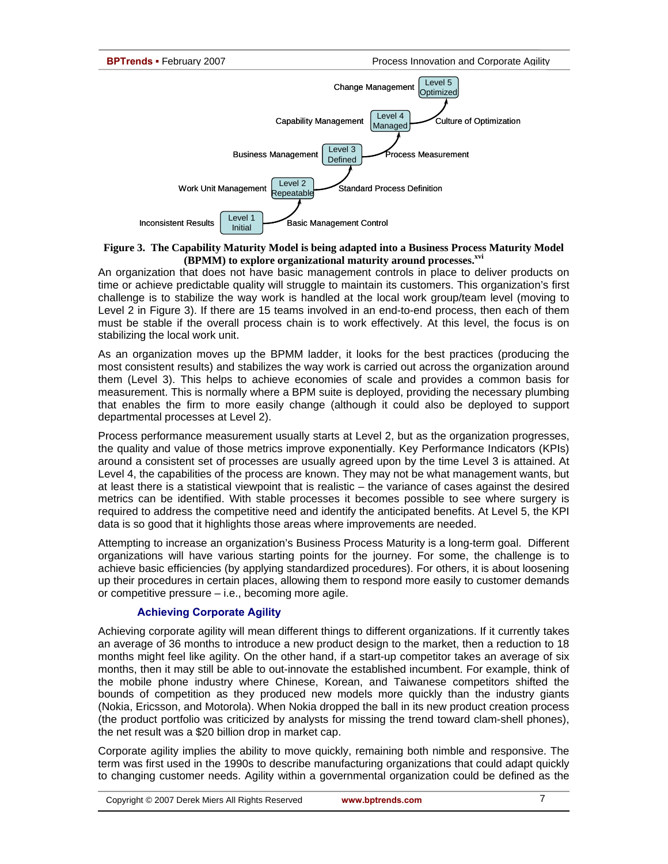

### **Figure 3. The Capability Maturity Model is being adapted into a Business Process Maturity Model (BPMM) to explore organizational maturity around processes.**xvi

An organization that does not have basic management controls in place to deliver products on time or achieve predictable quality will struggle to maintain its customers. This organization's first challenge is to stabilize the way work is handled at the local work group/team level (moving to Level 2 in Figure 3). If there are 15 teams involved in an end-to-end process, then each of them must be stable if the overall process chain is to work effectively. At this level, the focus is on stabilizing the local work unit.

As an organization moves up the BPMM ladder, it looks for the best practices (producing the most consistent results) and stabilizes the way work is carried out across the organization around them (Level 3). This helps to achieve economies of scale and provides a common basis for measurement. This is normally where a BPM suite is deployed, providing the necessary plumbing that enables the firm to more easily change (although it could also be deployed to support departmental processes at Level 2).

Process performance measurement usually starts at Level 2, but as the organization progresses, the quality and value of those metrics improve exponentially. Key Performance Indicators (KPIs) around a consistent set of processes are usually agreed upon by the time Level 3 is attained. At Level 4, the capabilities of the process are known. They may not be what management wants, but at least there is a statistical viewpoint that is realistic – the variance of cases against the desired metrics can be identified. With stable processes it becomes possible to see where surgery is required to address the competitive need and identify the anticipated benefits. At Level 5, the KPI data is so good that it highlights those areas where improvements are needed.

Attempting to increase an organization's Business Process Maturity is a long-term goal. Different organizations will have various starting points for the journey. For some, the challenge is to achieve basic efficiencies (by applying standardized procedures). For others, it is about loosening up their procedures in certain places, allowing them to respond more easily to customer demands or competitive pressure – i.e., becoming more agile.

## **Achieving Corporate Agility**

Achieving corporate agility will mean different things to different organizations. If it currently takes an average of 36 months to introduce a new product design to the market, then a reduction to 18 months might feel like agility. On the other hand, if a start-up competitor takes an average of six months, then it may still be able to out-innovate the established incumbent. For example, think of the mobile phone industry where Chinese, Korean, and Taiwanese competitors shifted the bounds of competition as they produced new models more quickly than the industry giants (Nokia, Ericsson, and Motorola). When Nokia dropped the ball in its new product creation process (the product portfolio was criticized by analysts for missing the trend toward clam-shell phones), the net result was a \$20 billion drop in market cap.

Corporate agility implies the ability to move quickly, remaining both nimble and responsive. The term was first used in the 1990s to describe manufacturing organizations that could adapt quickly to changing customer needs. Agility within a governmental organization could be defined as the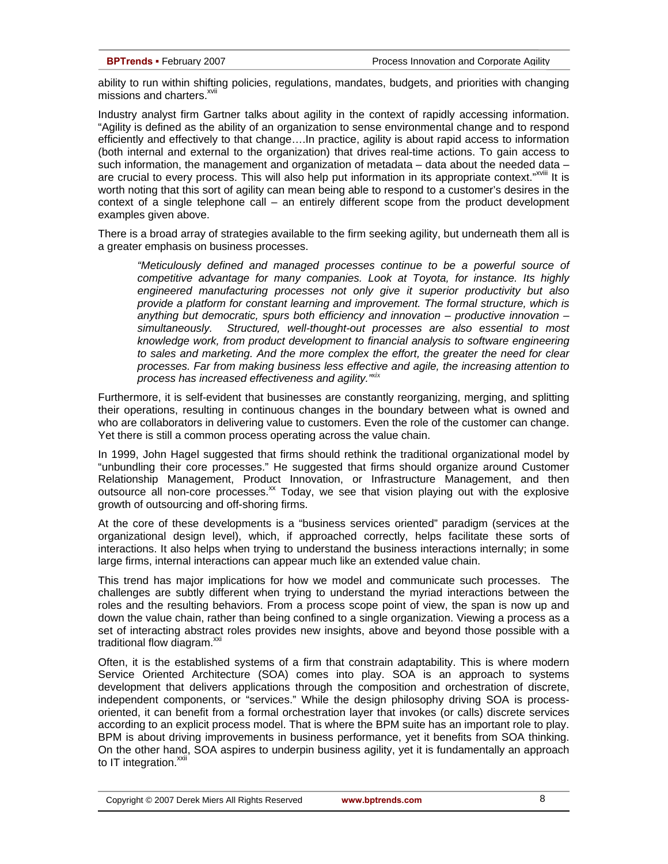ability to run within shifting policies, regulations, mandates, budgets, and priorities with changing missions and charters.<sup>xvii</sup>

Industry analyst firm Gartner talks about agility in the context of rapidly accessing information. "Agility is defined as the ability of an organization to sense environmental change and to respond efficiently and effectively to that change….In practice, agility is about rapid access to information (both internal and external to the organization) that drives real-time actions. To gain access to such information, the management and organization of metadata  $-$  data about the needed data  $$ are crucial to every process. This will also help put information in its appropriate context."<sup>XVIII</sup> It is worth noting that this sort of agility can mean being able to respond to a customer's desires in the context of a single telephone call – an entirely different scope from the product development examples given above.

There is a broad array of strategies available to the firm seeking agility, but underneath them all is a greater emphasis on business processes.

*"Meticulously defined and managed processes continue to be a powerful source of competitive advantage for many companies. Look at Toyota, for instance. Its highly engineered manufacturing processes not only give it superior productivity but also provide a platform for constant learning and improvement. The formal structure, which is anything but democratic, spurs both efficiency and innovation – productive innovation – simultaneously. Structured, well-thought-out processes are also essential to most knowledge work, from product development to financial analysis to software engineering to sales and marketing. And the more complex the effort, the greater the need for clear processes. Far from making business less effective and agile, the increasing attention to process has increased effectiveness and agility."xix* 

Furthermore, it is self-evident that businesses are constantly reorganizing, merging, and splitting their operations, resulting in continuous changes in the boundary between what is owned and who are collaborators in delivering value to customers. Even the role of the customer can change. Yet there is still a common process operating across the value chain.

In 1999, John Hagel suggested that firms should rethink the traditional organizational model by "unbundling their core processes." He suggested that firms should organize around Customer Relationship Management, Product Innovation, or Infrastructure Management, and then outsource all non-core processes. $^{xx}$  Today, we see that vision playing out with the explosive growth of outsourcing and off-shoring firms.

At the core of these developments is a "business services oriented" paradigm (services at the organizational design level), which, if approached correctly, helps facilitate these sorts of interactions. It also helps when trying to understand the business interactions internally; in some large firms, internal interactions can appear much like an extended value chain.

This trend has major implications for how we model and communicate such processes. The challenges are subtly different when trying to understand the myriad interactions between the roles and the resulting behaviors. From a process scope point of view, the span is now up and down the value chain, rather than being confined to a single organization. Viewing a process as a set of interacting abstract roles provides new insights, above and beyond those possible with a traditional flow diagram.<sup>xxi</sup>

Often, it is the established systems of a firm that constrain adaptability. This is where modern Service Oriented Architecture (SOA) comes into play. SOA is an approach to systems development that delivers applications through the composition and orchestration of discrete, independent components, or "services." While the design philosophy driving SOA is processoriented, it can benefit from a formal orchestration layer that invokes (or calls) discrete services according to an explicit process model. That is where the BPM suite has an important role to play. BPM is about driving improvements in business performance, yet it benefits from SOA thinking. On the other hand, SOA aspires to underpin business agility, yet it is fundamentally an approach to IT integration. $^{xxi}$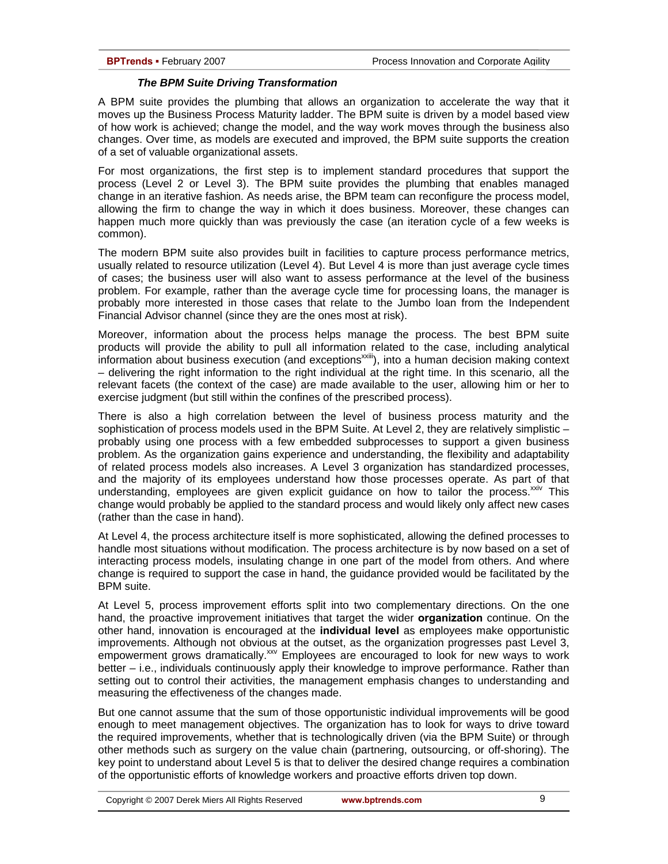### *The BPM Suite Driving Transformation*

A BPM suite provides the plumbing that allows an organization to accelerate the way that it moves up the Business Process Maturity ladder. The BPM suite is driven by a model based view of how work is achieved; change the model, and the way work moves through the business also changes. Over time, as models are executed and improved, the BPM suite supports the creation of a set of valuable organizational assets.

For most organizations, the first step is to implement standard procedures that support the process (Level 2 or Level 3). The BPM suite provides the plumbing that enables managed change in an iterative fashion. As needs arise, the BPM team can reconfigure the process model, allowing the firm to change the way in which it does business. Moreover, these changes can happen much more quickly than was previously the case (an iteration cycle of a few weeks is common).

The modern BPM suite also provides built in facilities to capture process performance metrics, usually related to resource utilization (Level 4). But Level 4 is more than just average cycle times of cases; the business user will also want to assess performance at the level of the business problem. For example, rather than the average cycle time for processing loans, the manager is probably more interested in those cases that relate to the Jumbo loan from the Independent Financial Advisor channel (since they are the ones most at risk).

Moreover, information about the process helps manage the process. The best BPM suite products will provide the ability to pull all information related to the case, including analytical information about business execution (and exceptions<sup>xxiii</sup>), into a human decision making context – delivering the right information to the right individual at the right time. In this scenario, all the relevant facets (the context of the case) are made available to the user, allowing him or her to exercise judgment (but still within the confines of the prescribed process).

There is also a high correlation between the level of business process maturity and the sophistication of process models used in the BPM Suite. At Level 2, they are relatively simplistic – probably using one process with a few embedded subprocesses to support a given business problem. As the organization gains experience and understanding, the flexibility and adaptability of related process models also increases. A Level 3 organization has standardized processes, and the majority of its employees understand how those processes operate. As part of that understanding, employees are given explicit guidance on how to tailor the process. $x_{div}$  This change would probably be applied to the standard process and would likely only affect new cases (rather than the case in hand).

At Level 4, the process architecture itself is more sophisticated, allowing the defined processes to handle most situations without modification. The process architecture is by now based on a set of interacting process models, insulating change in one part of the model from others. And where change is required to support the case in hand, the guidance provided would be facilitated by the BPM suite.

At Level 5, process improvement efforts split into two complementary directions. On the one hand, the proactive improvement initiatives that target the wider **organization** continue. On the other hand, innovation is encouraged at the **individual level** as employees make opportunistic improvements. Although not obvious at the outset, as the organization progresses past Level 3, empowerment grows dramatically.<sup>xxv</sup> Employees are encouraged to look for new ways to work better – i.e., individuals continuously apply their knowledge to improve performance. Rather than setting out to control their activities, the management emphasis changes to understanding and measuring the effectiveness of the changes made.

But one cannot assume that the sum of those opportunistic individual improvements will be good enough to meet management objectives. The organization has to look for ways to drive toward the required improvements, whether that is technologically driven (via the BPM Suite) or through other methods such as surgery on the value chain (partnering, outsourcing, or off-shoring). The key point to understand about Level 5 is that to deliver the desired change requires a combination of the opportunistic efforts of knowledge workers and proactive efforts driven top down.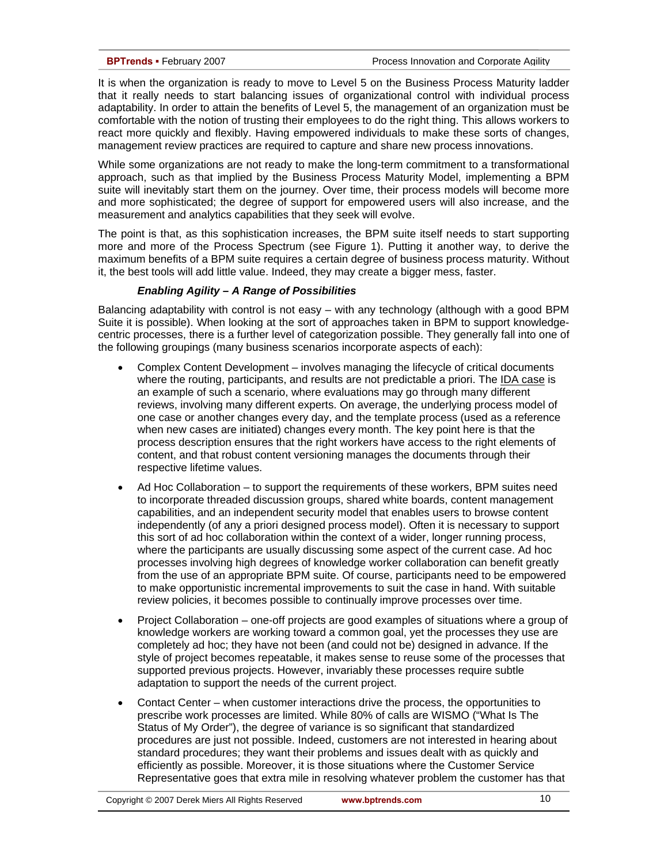It is when the organization is ready to move to Level 5 on the Business Process Maturity ladder that it really needs to start balancing issues of organizational control with individual process adaptability. In order to attain the benefits of Level 5, the management of an organization must be comfortable with the notion of trusting their employees to do the right thing. This allows workers to react more quickly and flexibly. Having empowered individuals to make these sorts of changes, management review practices are required to capture and share new process innovations.

While some organizations are not ready to make the long-term commitment to a transformational approach, such as that implied by the Business Process Maturity Model, implementing a BPM suite will inevitably start them on the journey. Over time, their process models will become more and more sophisticated; the degree of support for empowered users will also increase, and the measurement and analytics capabilities that they seek will evolve.

The point is that, as this sophistication increases, the BPM suite itself needs to start supporting more and more of the Process Spectrum (see Figure 1). Putting it another way, to derive the maximum benefits of a BPM suite requires a certain degree of business process maturity. Without it, the best tools will add little value. Indeed, they may create a bigger mess, faster.

### *Enabling Agility – A Range of Possibilities*

Balancing adaptability with control is not easy – with any technology (although with a good BPM Suite it is possible). When looking at the sort of approaches taken in BPM to support knowledgecentric processes, there is a further level of categorization possible. They generally fall into one of the following groupings (many business scenarios incorporate aspects of each):

- Complex Content Development involves managing the lifecycle of critical documents where the routing, participants, and results are not predictable a priori. The IDA case is an example of such a scenario, where evaluations may go through many different reviews, involving many different experts. On average, the underlying process model of one case or another changes every day, and the template process (used as a reference when new cases are initiated) changes every month. The key point here is that the process description ensures that the right workers have access to the right elements of content, and that robust content versioning manages the documents through their respective lifetime values.
- Ad Hoc Collaboration to support the requirements of these workers, BPM suites need to incorporate threaded discussion groups, shared white boards, content management capabilities, and an independent security model that enables users to browse content independently (of any a priori designed process model). Often it is necessary to support this sort of ad hoc collaboration within the context of a wider, longer running process, where the participants are usually discussing some aspect of the current case. Ad hoc processes involving high degrees of knowledge worker collaboration can benefit greatly from the use of an appropriate BPM suite. Of course, participants need to be empowered to make opportunistic incremental improvements to suit the case in hand. With suitable review policies, it becomes possible to continually improve processes over time.
- Project Collaboration one-off projects are good examples of situations where a group of knowledge workers are working toward a common goal, yet the processes they use are completely ad hoc; they have not been (and could not be) designed in advance. If the style of project becomes repeatable, it makes sense to reuse some of the processes that supported previous projects. However, invariably these processes require subtle adaptation to support the needs of the current project.
- Contact Center when customer interactions drive the process, the opportunities to prescribe work processes are limited. While 80% of calls are WISMO ("What Is The Status of My Order"), the degree of variance is so significant that standardized procedures are just not possible. Indeed, customers are not interested in hearing about standard procedures; they want their problems and issues dealt with as quickly and efficiently as possible. Moreover, it is those situations where the Customer Service Representative goes that extra mile in resolving whatever problem the customer has that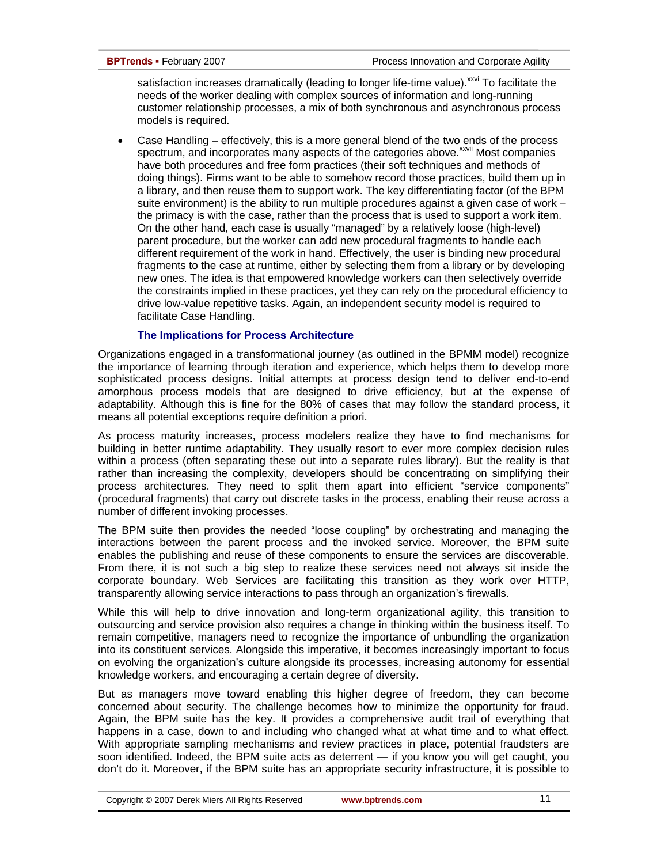satisfaction increases dramatically (leading to longer life-time value).<sup>xxvi</sup> To facilitate the needs of the worker dealing with complex sources of information and long-running customer relationship processes, a mix of both synchronous and asynchronous process models is required.

• Case Handling – effectively, this is a more general blend of the two ends of the process spectrum, and incorporates many aspects of the categories above.<sup>xxvii</sup> Most companies have both procedures and free form practices (their soft techniques and methods of doing things). Firms want to be able to somehow record those practices, build them up in a library, and then reuse them to support work. The key differentiating factor (of the BPM suite environment) is the ability to run multiple procedures against a given case of work – the primacy is with the case, rather than the process that is used to support a work item. On the other hand, each case is usually "managed" by a relatively loose (high-level) parent procedure, but the worker can add new procedural fragments to handle each different requirement of the work in hand. Effectively, the user is binding new procedural fragments to the case at runtime, either by selecting them from a library or by developing new ones. The idea is that empowered knowledge workers can then selectively override the constraints implied in these practices, yet they can rely on the procedural efficiency to drive low-value repetitive tasks. Again, an independent security model is required to facilitate Case Handling.

### **The Implications for Process Architecture**

Organizations engaged in a transformational journey (as outlined in the BPMM model) recognize the importance of learning through iteration and experience, which helps them to develop more sophisticated process designs. Initial attempts at process design tend to deliver end-to-end amorphous process models that are designed to drive efficiency, but at the expense of adaptability. Although this is fine for the 80% of cases that may follow the standard process, it means all potential exceptions require definition a priori.

As process maturity increases, process modelers realize they have to find mechanisms for building in better runtime adaptability. They usually resort to ever more complex decision rules within a process (often separating these out into a separate rules library). But the reality is that rather than increasing the complexity, developers should be concentrating on simplifying their process architectures. They need to split them apart into efficient "service components" (procedural fragments) that carry out discrete tasks in the process, enabling their reuse across a number of different invoking processes.

The BPM suite then provides the needed "loose coupling" by orchestrating and managing the interactions between the parent process and the invoked service. Moreover, the BPM suite enables the publishing and reuse of these components to ensure the services are discoverable. From there, it is not such a big step to realize these services need not always sit inside the corporate boundary. Web Services are facilitating this transition as they work over HTTP, transparently allowing service interactions to pass through an organization's firewalls.

While this will help to drive innovation and long-term organizational agility, this transition to outsourcing and service provision also requires a change in thinking within the business itself. To remain competitive, managers need to recognize the importance of unbundling the organization into its constituent services. Alongside this imperative, it becomes increasingly important to focus on evolving the organization's culture alongside its processes, increasing autonomy for essential knowledge workers, and encouraging a certain degree of diversity.

But as managers move toward enabling this higher degree of freedom, they can become concerned about security. The challenge becomes how to minimize the opportunity for fraud. Again, the BPM suite has the key. It provides a comprehensive audit trail of everything that happens in a case, down to and including who changed what at what time and to what effect. With appropriate sampling mechanisms and review practices in place, potential fraudsters are soon identified. Indeed, the BPM suite acts as deterrent — if you know you will get caught, you don't do it. Moreover, if the BPM suite has an appropriate security infrastructure, it is possible to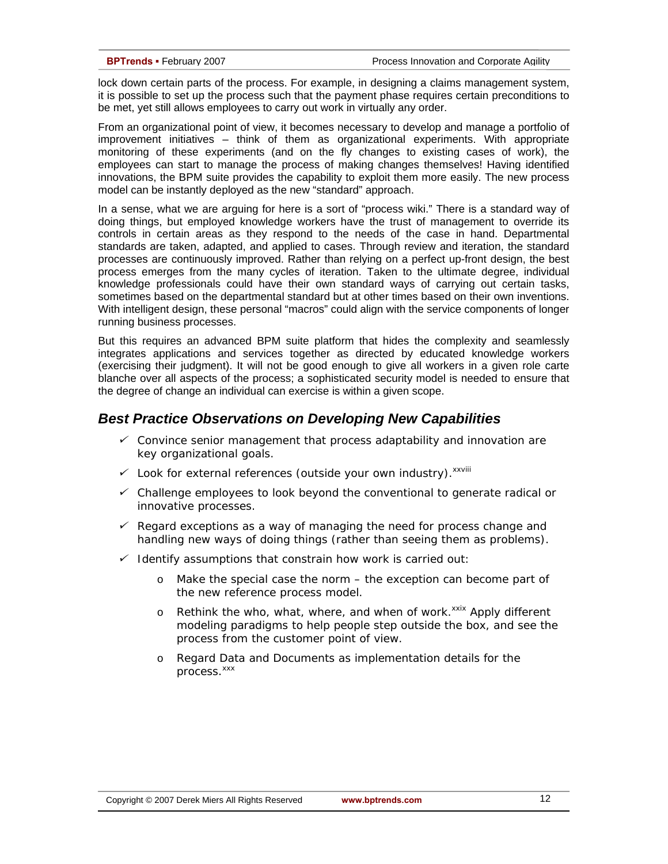lock down certain parts of the process. For example, in designing a claims management system, it is possible to set up the process such that the payment phase requires certain preconditions to be met, yet still allows employees to carry out work in virtually any order.

From an organizational point of view, it becomes necessary to develop and manage a portfolio of improvement initiatives – think of them as organizational experiments. With appropriate monitoring of these experiments (and on the fly changes to existing cases of work), the employees can start to manage the process of making changes themselves! Having identified innovations, the BPM suite provides the capability to exploit them more easily. The new process model can be instantly deployed as the new "standard" approach.

In a sense, what we are arguing for here is a sort of "process wiki." There is a standard way of doing things, but employed knowledge workers have the trust of management to override its controls in certain areas as they respond to the needs of the case in hand. Departmental standards are taken, adapted, and applied to cases. Through review and iteration, the standard processes are continuously improved. Rather than relying on a perfect up-front design, the best process emerges from the many cycles of iteration. Taken to the ultimate degree, individual knowledge professionals could have their own standard ways of carrying out certain tasks, sometimes based on the departmental standard but at other times based on their own inventions. With intelligent design, these personal "macros" could align with the service components of longer running business processes.

But this requires an advanced BPM suite platform that hides the complexity and seamlessly integrates applications and services together as directed by educated knowledge workers (exercising their judgment). It will not be good enough to give all workers in a given role carte blanche over all aspects of the process; a sophisticated security model is needed to ensure that the degree of change an individual can exercise is within a given scope.

# *Best Practice Observations on Developing New Capabilities*

- 9 *Convince senior management that process adaptability and innovation are key organizational goals.*
- 9 *Look for external references (outside your own industry).xxviii*
- 9 *Challenge employees to look beyond the conventional to generate radical or innovative processes.*
- 9 *Regard exceptions as a way of managing the need for process change and handling new ways of doing things (rather than seeing them as problems).*
- 9 *Identify assumptions that constrain how work is carried out:* 
	- o *Make the special case the norm the exception can become part of the new reference process model.*
	- o *Rethink the who, what, where, and when of work.<sup>xxix</sup> Apply different modeling paradigms to help people step outside the box, and see the process from the customer point of view.*
	- o *Regard Data and Documents as implementation details for the process.*<sup>xxx</sup>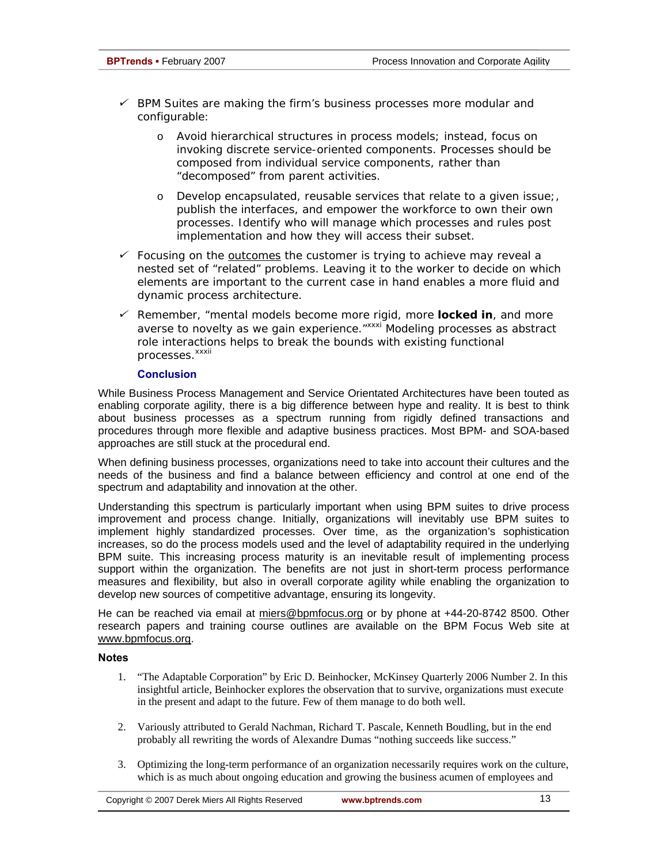- 9 *BPM Suites are making the firm's business processes more modular and configurable:* 
	- o *Avoid hierarchical structures in process models; instead, focus on invoking discrete service-oriented components. Processes should be composed from individual service components, rather than "decomposed" from parent activities.*
	- o *Develop encapsulated, reusable services that relate to a given issue;, publish the interfaces, and empower the workforce to own their own processes. Identify who will manage which processes and rules post implementation and how they will access their subset.*
- 9 *Focusing on the outcomes the customer is trying to achieve may reveal a nested set of "related" problems. Leaving it to the worker to decide on which elements are important to the current case in hand enables a more fluid and dynamic process architecture.*
- 9 *Remember, "mental models become more rigid, more locked in, and more averse to novelty as we gain experience."xxxi Modeling processes as abstract role interactions helps to break the bounds with existing functional processes.*<sup>xxxii</sup>

### **Conclusion**

While Business Process Management and Service Orientated Architectures have been touted as enabling corporate agility, there is a big difference between hype and reality. It is best to think about business processes as a spectrum running from rigidly defined transactions and procedures through more flexible and adaptive business practices. Most BPM- and SOA-based approaches are still stuck at the procedural end.

When defining business processes, organizations need to take into account their cultures and the needs of the business and find a balance between efficiency and control at one end of the spectrum and adaptability and innovation at the other.

Understanding this spectrum is particularly important when using BPM suites to drive process improvement and process change. Initially, organizations will inevitably use BPM suites to implement highly standardized processes. Over time, as the organization's sophistication increases, so do the process models used and the level of adaptability required in the underlying BPM suite. This increasing process maturity is an inevitable result of implementing process support within the organization. The benefits are not just in short-term process performance measures and flexibility, but also in overall corporate agility while enabling the organization to develop new sources of competitive advantage, ensuring its longevity.

He can be reached via email at miers@bpmfocus.org or by phone at +44-20-8742 8500. Other research papers and training course outlines are available on the BPM Focus Web site at www.bpmfocus.org.

### **Notes**

- 1. "The Adaptable Corporation" by Eric D. Beinhocker, McKinsey Quarterly 2006 Number 2. In this insightful article, Beinhocker explores the observation that to survive, organizations must execute in the present and adapt to the future. Few of them manage to do both well.
- 2. Variously attributed to Gerald Nachman, Richard T. Pascale, Kenneth Boudling, but in the end probably all rewriting the words of Alexandre Dumas "nothing succeeds like success."
- 3. Optimizing the long-term performance of an organization necessarily requires work on the culture, which is as much about ongoing education and growing the business acumen of employees and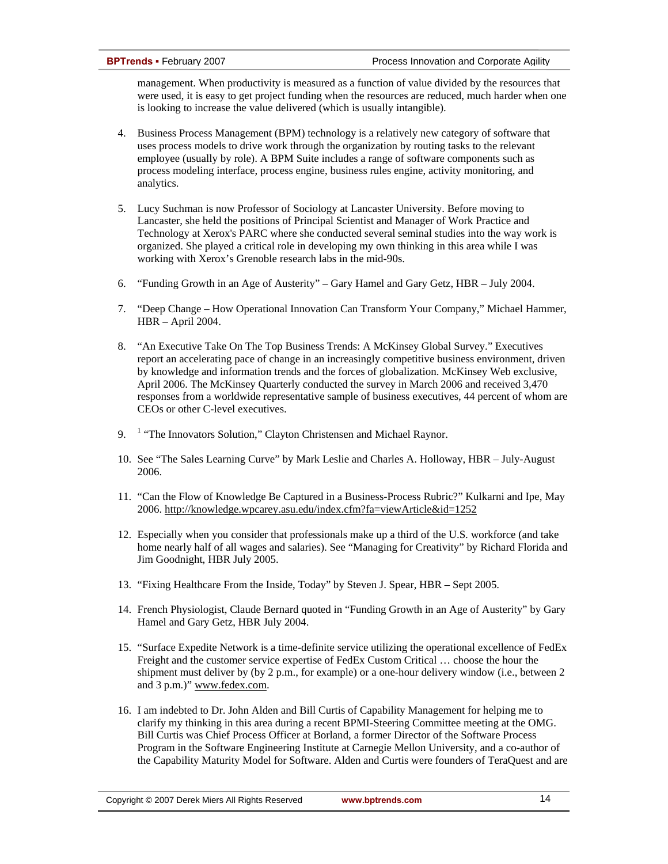management. When productivity is measured as a function of value divided by the resources that were used, it is easy to get project funding when the resources are reduced, much harder when one is looking to increase the value delivered (which is usually intangible).

- 4. Business Process Management (BPM) technology is a relatively new category of software that uses process models to drive work through the organization by routing tasks to the relevant employee (usually by role). A BPM Suite includes a range of software components such as process modeling interface, process engine, business rules engine, activity monitoring, and analytics.
- 5. Lucy Suchman is now Professor of Sociology at Lancaster University. Before moving to Lancaster, she held the positions of Principal Scientist and Manager of Work Practice and Technology at Xerox's PARC where she conducted several seminal studies into the way work is organized. She played a critical role in developing my own thinking in this area while I was working with Xerox's Grenoble research labs in the mid-90s.
- 6. "Funding Growth in an Age of Austerity" Gary Hamel and Gary Getz, HBR July 2004.
- 7. "Deep Change How Operational Innovation Can Transform Your Company," Michael Hammer, HBR – April 2004.
- 8. "An Executive Take On The Top Business Trends: A McKinsey Global Survey." Executives report an accelerating pace of change in an increasingly competitive business environment, driven by knowledge and information trends and the forces of globalization. McKinsey Web exclusive, April 2006. The McKinsey Quarterly conducted the survey in March 2006 and received 3,470 responses from a worldwide representative sample of business executives, 44 percent of whom are CEOs or other C-level executives.
- 9.  $<sup>1</sup>$  "The Innovators Solution," Clayton Christensen and Michael Raynor.</sup>
- 10. See "The Sales Learning Curve" by Mark Leslie and Charles A. Holloway, HBR July-August 2006.
- 11. "Can the Flow of Knowledge Be Captured in a Business-Process Rubric?" Kulkarni and Ipe, May 2006. http://knowledge.wpcarey.asu.edu/index.cfm?fa=viewArticle&id=1252
- 12. Especially when you consider that professionals make up a third of the U.S. workforce (and take home nearly half of all wages and salaries). See "Managing for Creativity" by Richard Florida and Jim Goodnight, HBR July 2005.
- 13. "Fixing Healthcare From the Inside, Today" by Steven J. Spear, HBR Sept 2005.
- 14. French Physiologist, Claude Bernard quoted in "Funding Growth in an Age of Austerity" by Gary Hamel and Gary Getz, HBR July 2004.
- 15. "Surface Expedite Network is a time-definite service utilizing the operational excellence of FedEx Freight and the customer service expertise of FedEx Custom Critical … choose the hour the shipment must deliver by (by 2 p.m., for example) or a one-hour delivery window (i.e., between 2 and 3 p.m.)" www.fedex.com.
- 16. I am indebted to Dr. John Alden and Bill Curtis of Capability Management for helping me to clarify my thinking in this area during a recent BPMI-Steering Committee meeting at the OMG. Bill Curtis was Chief Process Officer at Borland, a former Director of the Software Process Program in the Software Engineering Institute at Carnegie Mellon University, and a co-author of the Capability Maturity Model for Software. Alden and Curtis were founders of TeraQuest and are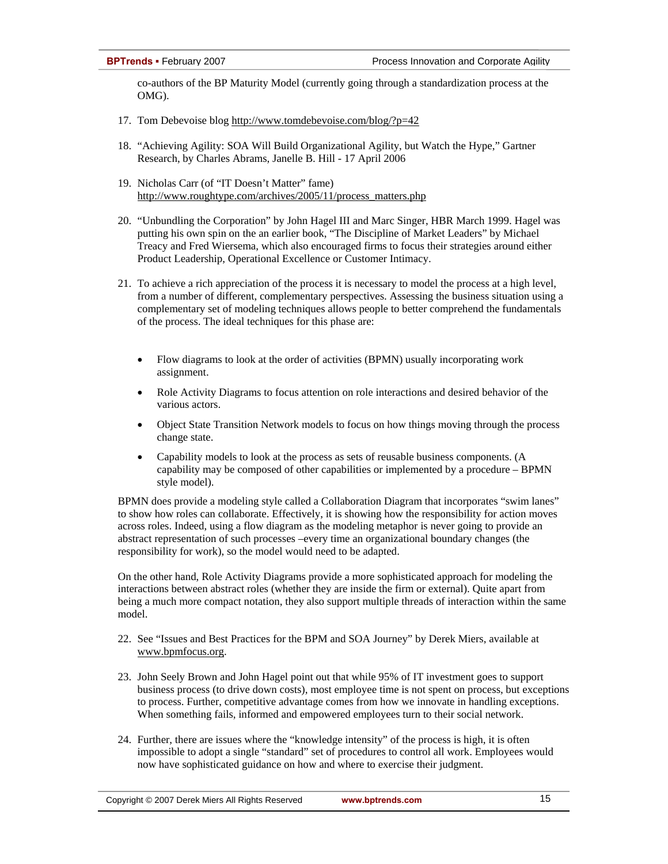co-authors of the BP Maturity Model (currently going through a standardization process at the OMG).

- 17. Tom Debevoise blog http://www.tomdebevoise.com/blog/?p=42
- 18. "Achieving Agility: SOA Will Build Organizational Agility, but Watch the Hype," Gartner Research, by Charles Abrams, Janelle B. Hill - 17 April 2006
- 19. Nicholas Carr (of "IT Doesn't Matter" fame) http://www.roughtype.com/archives/2005/11/process\_matters.php
- 20. "Unbundling the Corporation" by John Hagel III and Marc Singer, HBR March 1999. Hagel was putting his own spin on the an earlier book, "The Discipline of Market Leaders" by Michael Treacy and Fred Wiersema, which also encouraged firms to focus their strategies around either Product Leadership, Operational Excellence or Customer Intimacy.
- 21. To achieve a rich appreciation of the process it is necessary to model the process at a high level, from a number of different, complementary perspectives. Assessing the business situation using a complementary set of modeling techniques allows people to better comprehend the fundamentals of the process. The ideal techniques for this phase are:
	- Flow diagrams to look at the order of activities (BPMN) usually incorporating work assignment.
	- Role Activity Diagrams to focus attention on role interactions and desired behavior of the various actors.
	- Object State Transition Network models to focus on how things moving through the process change state.
	- Capability models to look at the process as sets of reusable business components. (A capability may be composed of other capabilities or implemented by a procedure – BPMN style model).

BPMN does provide a modeling style called a Collaboration Diagram that incorporates "swim lanes" to show how roles can collaborate. Effectively, it is showing how the responsibility for action moves across roles. Indeed, using a flow diagram as the modeling metaphor is never going to provide an abstract representation of such processes –every time an organizational boundary changes (the responsibility for work), so the model would need to be adapted.

On the other hand, Role Activity Diagrams provide a more sophisticated approach for modeling the interactions between abstract roles (whether they are inside the firm or external). Quite apart from being a much more compact notation, they also support multiple threads of interaction within the same model.

- 22. See "Issues and Best Practices for the BPM and SOA Journey" by Derek Miers, available at www.bpmfocus.org.
- 23. John Seely Brown and John Hagel point out that while 95% of IT investment goes to support business process (to drive down costs), most employee time is not spent on process, but exceptions to process. Further, competitive advantage comes from how we innovate in handling exceptions. When something fails, informed and empowered employees turn to their social network.
- 24. Further, there are issues where the "knowledge intensity" of the process is high, it is often impossible to adopt a single "standard" set of procedures to control all work. Employees would now have sophisticated guidance on how and where to exercise their judgment.